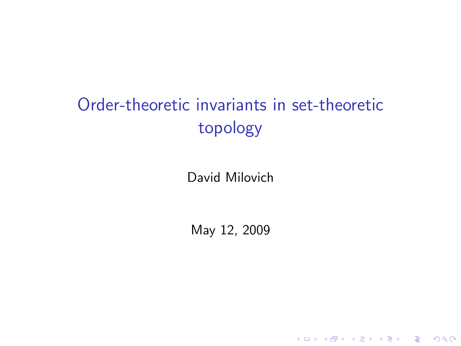# Order-theoretic invariants in set-theoretic topology

David Milovich

<span id="page-0-0"></span>May 12, 2009

K ロ ▶ K @ ▶ K 할 ▶ K 할 ▶ | 할 | ⊙Q @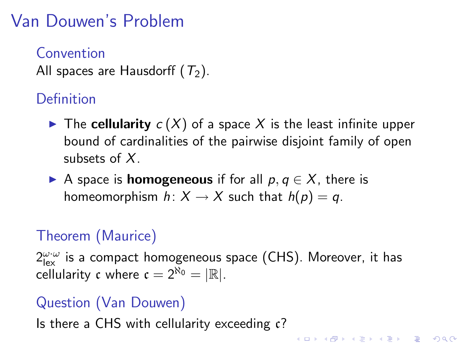# Van Douwen's Problem

**Convention** All spaces are Hausdorff  $(T_2)$ .

### Definition

- $\blacktriangleright$  The cellularity  $c(X)$  of a space X is the least infinite upper bound of cardinalities of the pairwise disjoint family of open subsets of X.
- A space is **homogeneous** if for all  $p, q \in X$ , there is homeomorphism  $h: X \to X$  such that  $h(p) = q$ .

### Theorem (Maurice)

 $2^{\omega \cdot \omega}_{\mathsf{lex}}$  is a compact homogeneous space (CHS). Moreover, it has cellularity c where  $c = 2^{\aleph_0} = |\mathbb{R}|$ .

#### Question (Van Douwen)

Is there a CHS with cellularity exceeding c?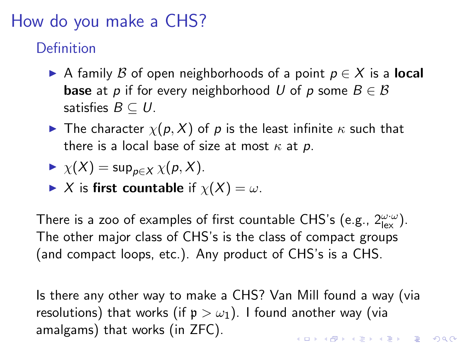## How do you make a CHS?

Definition

- A family B of open neighborhoods of a point  $p \in X$  is a **local base** at p if for every neighborhood U of p some  $B \in \mathcal{B}$ satisfies  $B \subseteq U$ .
- **IF The character**  $\chi(p, X)$  of p is the least infinite  $\kappa$  such that there is a local base of size at most  $\kappa$  at p.

$$
\blacktriangleright \ \chi(X) = \sup_{p \in X} \chi(p, X).
$$

 $\blacktriangleright$  X is first countable if  $\chi(X) = \omega$ .

There is a zoo of examples of first countable CHS's (e.g.,  $2_{\mathsf{lex}}^{\omega \cdot \omega}$ ). The other major class of CHS's is the class of compact groups (and compact loops, etc.). Any product of CHS's is a CHS.

Is there any other way to make a CHS? Van Mill found a way (via resolutions) that works (if  $p > \omega_1$ ). I found another way (via amalgams) that works (in ZFC).KID KA KERKER KID KO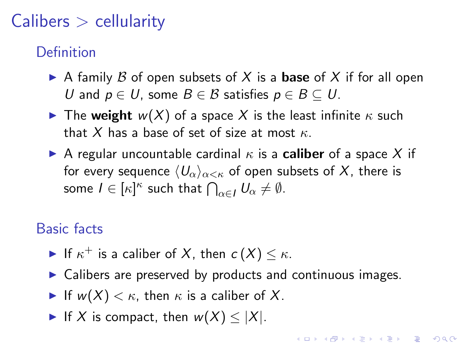# $Calibers >$  cellularity

### Definition

- A family B of open subsets of X is a **base** of X if for all open U and  $p \in U$ , some  $B \in \mathcal{B}$  satisfies  $p \in B \subseteq U$ .
- **If** The weight  $w(X)$  of a space X is the least infinite  $\kappa$  such that X has a base of set of size at most  $\kappa$ .
- A regular uncountable cardinal  $\kappa$  is a **caliber** of a space X if for every sequence  $\langle U_{\alpha}\rangle_{\alpha<\kappa}$  of open subsets of X, there is some  $I \in [\kappa]^\kappa$  such that  $\bigcap_{\alpha \in I} U_\alpha \neq \emptyset$ .

### Basic facts

- If  $\kappa^+$  is a caliber of X, then  $c(X) \leq \kappa$ .
- $\triangleright$  Calibers are preserved by products and continuous images.

**KORKAR KERKER E VOOR** 

- If  $w(X) < \kappa$ , then  $\kappa$  is a caliber of X.
- If X is compact, then  $w(X) \leq |X|$ .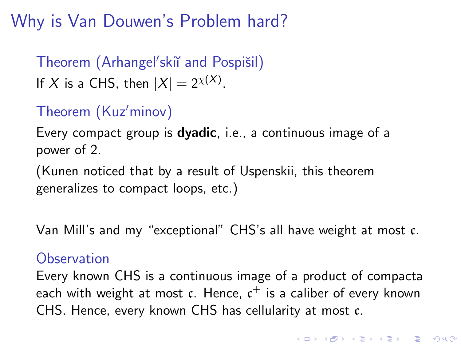Why is Van Douwen's Problem hard?

Theorem (Arhangel'skiï and Pospišil) If X is a CHS, then  $|X|=2^{\chi(X)}$ .

## Theorem (Kuz'minov)

Every compact group is **dyadic**, i.e., a continuous image of a power of 2.

(Kunen noticed that by a result of Uspenskii, this theorem generalizes to compact loops, etc.)

Van Mill's and my "exceptional" CHS's all have weight at most c.

#### **Observation**

Every known CHS is a continuous image of a product of compacta each with weight at most  $\mathfrak c$ . Hence,  $\mathfrak c^+$  is a caliber of every known CHS. Hence, every known CHS has cellularity at most c.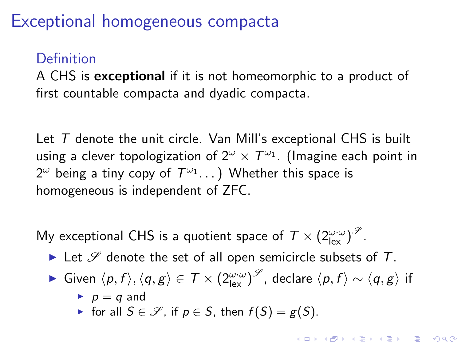## Exceptional homogeneous compacta

### Definition

A CHS is exceptional if it is not homeomorphic to a product of first countable compacta and dyadic compacta.

Let T denote the unit circle. Van Mill's exceptional CHS is built using a clever topologization of  $2^\omega\times 7^{\omega_1}$ . (Imagine each point in  $2^\omega$  being a tiny copy of  $\mathcal{T}^{\omega_1} \dots )$  Whether this space is homogeneous is independent of ZFC.

My exceptional CHS is a quotient space of  $\mathcal{T} \times (2_{\mathsf{lex}}^{\omega \cdot \omega})^\mathscr{S}.$ 

- In Let  $\mathscr S$  denote the set of all open semicircle subsets of T.
- ► Given  $\langle p, f \rangle, \langle q, g \rangle \in \mathcal{T} \times (2^{\omega \cdot \omega}_{\text{lex}})^\mathscr{S}$ , declare  $\langle p, f \rangle \sim \langle q, g \rangle$  if
	- $\blacktriangleright$  p = q and
	- $\triangleright$  for all  $S \in \mathcal{S}$ , if  $p \in S$ , then  $f(S) = g(S)$ .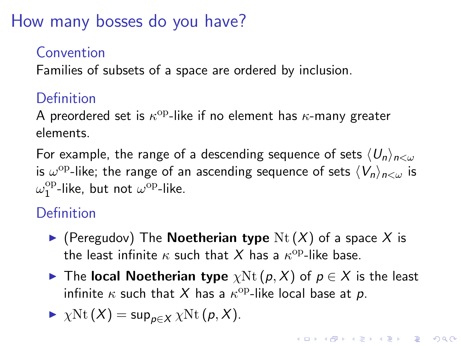How many bosses do you have?

### Convention

Families of subsets of a space are ordered by inclusion.

### **Definition**

A preordered set is  $\kappa^{\rm op}\text{-like}$  if no element has  $\kappa\text{-many}$  greater elements.

For example, the range of a descending sequence of sets  $\langle U_n \rangle_{n \leq \omega}$ is  $\omega^{\mathrm{op}}$ -like; the range of an ascending sequence of sets  $\langle V_n\rangle_{n<\omega}$  is  $\omega^{\rm op}_1$ <sup>op</sup>-like, but not  $\omega^{\rm op}$ -like.

## **Definition**

- $\blacktriangleright$  (Peregudov) The **Noetherian type** Nt  $(X)$  of a space X is the least infinite  $\kappa$  such that  $X$  has a  $\kappa^{\mathrm{op}}$ -like base.
- **►** The local Noetherian type  $\chi$ Nt  $(p, X)$  of  $p \in X$  is the least infinite  $\kappa$  such that  $X$  has a  $\kappa^{\rm op}\text{-}$ like local base at  $p$ .

$$
\blacktriangleright \ \chi \mathrm{Nt}\,(X) = \sup_{p \in X} \chi \mathrm{Nt}\,(p,X).
$$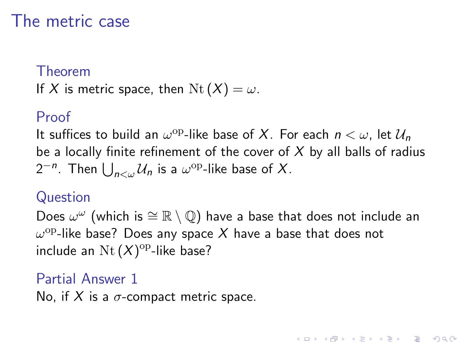## The metric case

#### Theorem

If X is metric space, then  $Nt(X) = \omega$ .

#### Proof

It suffices to build an  $\omega^{\mathrm{op}}$ -like base of X. For each  $n<\omega$ , let  $\mathcal{U}_n$ be a locally finite refinement of the cover of  $X$  by all balls of radius  $2^{-n}$ . Then  $\bigcup_{n<\omega}\mathcal{U}_n$  is a  $\omega^{\mathrm{op}}$ -like base of  $X$ .

#### Question

Does  $\omega^\omega$  (which is  $\cong \mathbb{R} \setminus \mathbb{Q}$ ) have a base that does not include an  $\omega^{\rm op}$ -like base? Does any space  $X$  have a base that does not include an  $\operatorname{Nt}(X)^{\operatorname{op}}$ -like base?

**KORKAR KERKER E VOOR** 

#### Partial Answer 1

No, if X is a  $\sigma$ -compact metric space.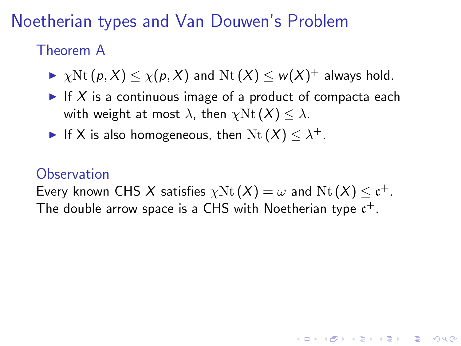Noetherian types and Van Douwen's Problem

### Theorem A

 $\blacktriangleright \ \chi \mathrm{Nt}\, (p, X) \leq \chi(p, X)$  and  $\mathrm{Nt}\, (X) \leq \mathsf{w}(X)^+$  always hold.

- If X is a continuous image of a product of compacta each with weight at most  $\lambda$ , then  $\chi$ Nt  $(X) < \lambda$ .
- If X is also homogeneous, then  $\mathrm{Nt}(X) \leq \lambda^+$ .

### **Observation**

Every known CHS X satisfies  $\chi \mathrm{Nt}\left( X \right) = \omega$  and  $\mathrm{Nt}\left( X \right) \le \mathfrak{c}^+.$ The double arrow space is a CHS with Noetherian type  $\mathfrak{c}^+.$ 

**KORKAR KERKER E VOOR**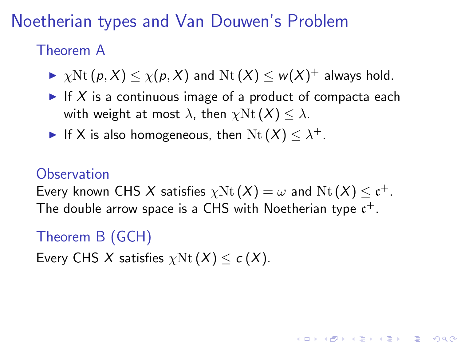Noetherian types and Van Douwen's Problem

### Theorem A

 $\blacktriangleright \ \chi \mathrm{Nt}\, (p, X) \leq \chi(p, X)$  and  $\mathrm{Nt}\, (X) \leq \mathsf{w}(X)^+$  always hold.

- If X is a continuous image of a product of compacta each with weight at most  $\lambda$ , then  $\chi$ Nt  $(X) < \lambda$ .
- If X is also homogeneous, then  $\mathrm{Nt}(X) \leq \lambda^+$ .

### **Observation**

Every known CHS X satisfies  $\chi \mathrm{Nt}\left( X \right) = \omega$  and  $\mathrm{Nt}\left( X \right) \le \mathfrak{c}^+.$ The double arrow space is a CHS with Noetherian type  $\mathfrak{c}^+.$ 

**KORKAR KERKER E VOOR** 

## Theorem B (GCH)

Every CHS X satisfies  $\chi$ Nt $(X)$  < c  $(X)$ .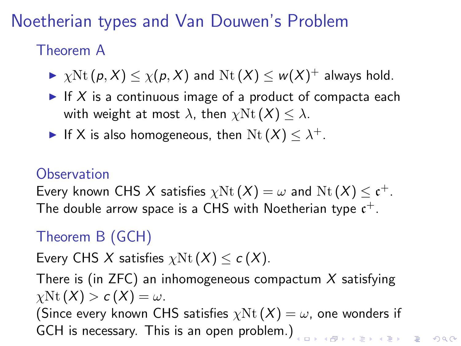Noetherian types and Van Douwen's Problem

### Theorem A

 $\blacktriangleright \ \chi \mathrm{Nt}\, (p, X) \leq \chi(p, X)$  and  $\mathrm{Nt}\, (X) \leq \mathsf{w}(X)^+$  always hold.

- If X is a continuous image of a product of compacta each with weight at most  $\lambda$ , then  $\chi$ Nt $(X) \leq \lambda$ .
- If X is also homogeneous, then  $\mathrm{Nt}(X) \leq \lambda^+$ .

### **Observation**

Every known CHS X satisfies  $\chi \mathrm{Nt}\left( X \right) = \omega$  and  $\mathrm{Nt}\left( X \right) \le \mathfrak{c}^+.$ The double arrow space is a CHS with Noetherian type  $\mathfrak{c}^+.$ 

## Theorem B (GCH)

Every CHS X satisfies  $\chi$ Nt  $(X) < c(X)$ .

There is (in ZFC) an inhomogeneous compactum  $X$  satisfying  $\chi$ Nt  $(X) > c(X) = \omega$ .

(Since every known CHS satisfies  $\chi \text{Nt}(\textit{X}) = \omega$ , one wonders if GCH is necessary. This is an open problem.)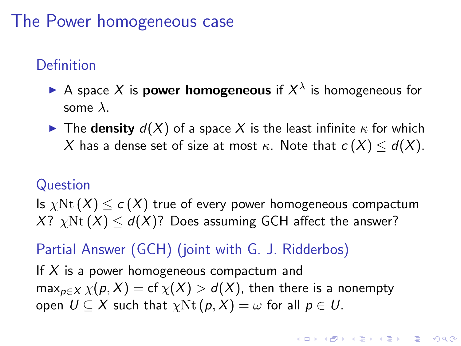## The Power homogeneous case

## **Definition**

- A space X is **power homogeneous** if  $X^{\lambda}$  is homogeneous for some  $\lambda$ .
- **If** The **density**  $d(X)$  of a space X is the least infinite  $\kappa$  for which X has a dense set of size at most  $\kappa$ . Note that  $c(X) \leq d(X)$ .

#### Question

Is  $\chi$ Nt  $(X) \leq c(X)$  true of every power homogeneous compactum  $X?$   $\chi$ Nt  $(X)$  <  $d(X)$ ? Does assuming GCH affect the answer?

### Partial Answer (GCH) (joint with G. J. Ridderbos)

<span id="page-11-0"></span>If  $X$  is a power homogeneous compactum and  $\max_{p \in X} \chi(p, X) = \text{cf } \chi(X) > d(X)$ , then there is a nonempty open  $U \subseteq X$  such that  $\chi \text{Nt}(p, X) = \omega$  for all  $p \in U$ .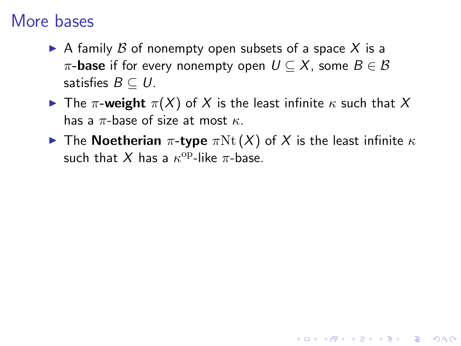## More bases

- A family  $\beta$  of nonempty open subsets of a space X is a  $\pi$ -base if for every nonempty open  $U \subseteq X$ , some  $B \in \mathcal{B}$ satisfies  $B \subseteq U$ .
- **I** The  $\pi$ -weight  $\pi(X)$  of X is the least infinite  $\kappa$  such that X has a  $\pi$ -base of size at most  $\kappa$ .
- <span id="page-12-0"></span>**IDED** The Noetherian  $\pi$ -type  $\pi$ Nt  $(X)$  of X is the least infinite  $\kappa$ such that X has a  $\kappa^{\rm op}\text{-like } \pi\text{-}$ base.

K ロ ▶ K @ ▶ K 할 > K 할 > 1 할 > 1 이익어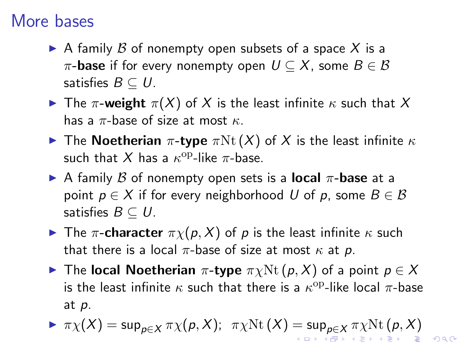## More bases

- A family  $\beta$  of nonempty open subsets of a space X is a  $\pi$ -base if for every nonempty open  $U \subseteq X$ , some  $B \in \mathcal{B}$ satisfies  $B \subset U$ .
- **I** The  $\pi$ -weight  $\pi(X)$  of X is the least infinite  $\kappa$  such that X has a  $\pi$ -base of size at most  $\kappa$ .
- **IDED** The Noetherian  $\pi$ -type  $\pi$ Nt  $(X)$  of X is the least infinite  $\kappa$ such that X has a  $\kappa^{\rm op}\text{-like } \pi\text{-}$ base.
- A family B of nonempty open sets is a **local**  $\pi$ -base at a point  $p \in X$  if for every neighborhood U of p, some  $B \in \mathcal{B}$ satisfies  $B \subseteq U$ .
- **IF The π-character**  $\pi \chi(p, X)$  of p is the least infinite  $\kappa$  such that there is a local  $\pi$ -base of size at most  $\kappa$  at p.
- $\blacktriangleright$  The local Noetherian π-type  $\pi \chi \text{Nt}(p, X)$  of a point  $p \in X$ is the least infinite  $\kappa$  such that there is a  $\kappa^{\rm op}\text{-like}$  local  $\pi\text{-}$ base at p.

<span id="page-13-0"></span>
$$
\blacktriangleright \pi \chi(X) = \sup\nolimits_{p \in X} \pi \chi(p, X); \quad \pi \chi \mathrm{Nt}(X) = \sup\nolimits_{p \in X} \pi \chi \mathrm{Nt}(p, X)
$$

 $Q \cap R$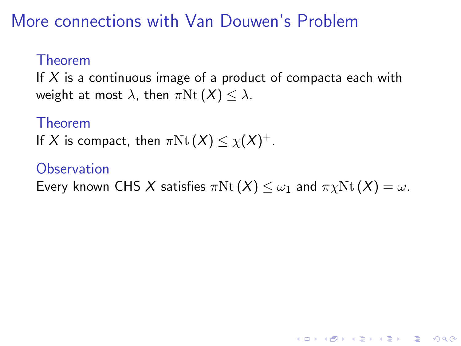## More connections with Van Douwen's Problem

#### Theorem

If  $X$  is a continuous image of a product of compacta each with weight at most  $\lambda$ , then  $\pi$ Nt $(X) \leq \lambda$ .

#### Theorem

If X is compact, then  $\pi \mathrm{Nt}\left( X \right) \le \chi(X)^{+}.$ 

#### **Observation**

<span id="page-14-0"></span>Every known CHS X satisfies  $\pi$ Nt $(X) \leq \omega_1$  and  $\pi \chi$ Nt $(X) = \omega$ .

**KORK ERKER ADE YOUR**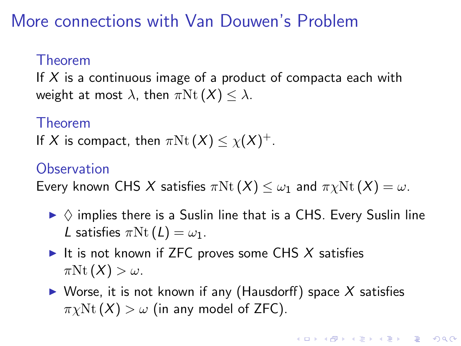## More connections with Van Douwen's Problem

#### Theorem

If  $X$  is a continuous image of a product of compacta each with weight at most  $\lambda$ , then  $\pi$ Nt $(X) \leq \lambda$ .

#### Theorem

If X is compact, then  $\pi \mathrm{Nt}\left( X \right) \le \chi(X)^{+}.$ 

#### **Observation**

Every known CHS X satisfies  $\pi$ Nt $(X) \leq \omega_1$  and  $\pi \chi$ Nt $(X) = \omega$ .

- $\triangleright \Diamond$  implies there is a Suslin line that is a CHS. Every Suslin line L satisfies  $\pi$ Nt  $(L) = \omega_1$ .
- It is not known if ZFC proves some CHS  $X$  satisfies  $\pi$ Nt $(X) > \omega$ .
- $\triangleright$  Worse, it is not known if any (Hausdorff) space X satisfies  $\pi \chi \mathrm{Nt}(X) > \omega$  (in any model of ZFC).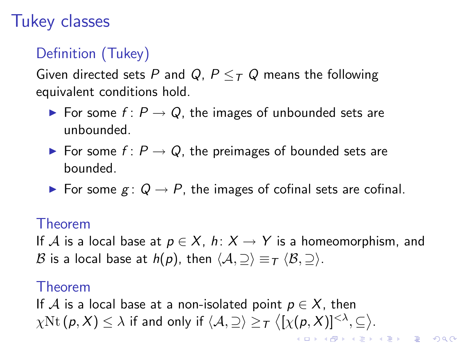# Tukey classes

## Definition (Tukey)

Given directed sets P and Q,  $P \leq_T Q$  means the following equivalent conditions hold.

- ► For some  $f: P \to Q$ , the images of unbounded sets are unbounded.
- ► For some  $f: P \to Q$ , the preimages of bounded sets are bounded.
- ► For some  $g: Q \to P$ , the images of cofinal sets are cofinal.

#### Theorem

If A is a local base at  $p \in X$ ,  $h: X \to Y$  is a homeomorphism, and B is a local base at  $h(p)$ , then  $\langle A, \supseteq \rangle \equiv \tau \langle B, \supseteq \rangle$ .

#### Theorem

If A is a local base at a non-isolated point  $p \in X$ , then  $\chi \mathrm{Nt}\, (\pmb{\rho}, X) \leq \lambda$  if and only if  $\langle \mathcal{A}, \supseteq \rangle \geq_{\mathcal{T}} \bigl\langle [\chi(\pmb{\rho}, X)]^{<\lambda}, \subseteq \bigr\rangle.$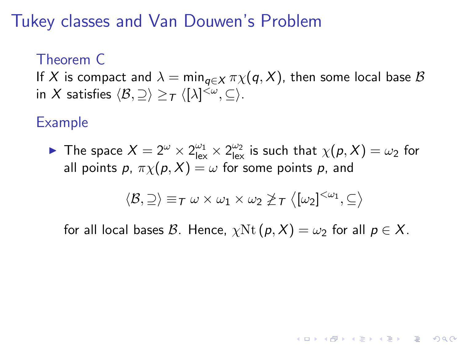## Tukey classes and Van Douwen's Problem

#### Theorem C

If X is compact and  $\lambda = \min_{\mathbf{q} \in \mathcal{X}} \pi \chi(\mathbf{q}, X)$ , then some local base B in  $X$  satisfies  $\langle \mathcal{B}, \supseteq \rangle \geq_{\mathcal{T}} \langle [\lambda]^{<\omega}, \subseteq \rangle$ .

### Example

The space  $X = 2^{\omega} \times 2^{\omega_1}_{lex} \times 2^{\omega_2}_{lex}$  is such that  $\chi(p, X) = \omega_2$  for all points p,  $\pi \chi(p, X) = \omega$  for some points p, and

$$
\langle \mathcal{B},\supseteq\rangle\equiv_{\mathcal{T}}\omega\times\omega_1\times\omega_2\ngeq_{\mathcal{T}}\big\langle[\omega_2]^{<\omega_1},\subseteq\big\rangle
$$

**KORK ERKER ADE YOUR** 

for all local bases B. Hence,  $\chi$ Nt $(p, X) = \omega_2$  for all  $p \in X$ .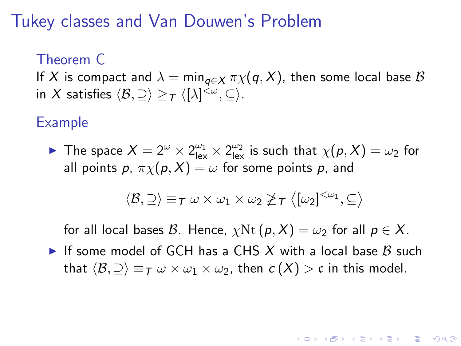## Tukey classes and Van Douwen's Problem

#### Theorem C

If X is compact and  $\lambda = \min_{\mathbf{q} \in \mathcal{X}} \pi \chi(\mathbf{q}, X)$ , then some local base B in  $X$  satisfies  $\langle \mathcal{B}, \supseteq \rangle \geq_{\mathcal{T}} \langle [\lambda]^{<\omega}, \subseteq \rangle$ .

#### Example

The space  $X = 2^{\omega} \times 2^{\omega_1}_{lex} \times 2^{\omega_2}_{lex}$  is such that  $\chi(p, X) = \omega_2$  for all points p,  $\pi \chi(p, X) = \omega$  for some points p, and

$$
\langle \mathcal{B},\supseteq\rangle\equiv_{\mathcal{T}}\omega\times\omega_1\times\omega_2\ngeq_{\mathcal{T}}\big\langle[\omega_2]^{<\omega_1},\subseteq\big\rangle
$$

for all local bases B. Hence,  $\chi$ Nt $(p, X) = \omega_2$  for all  $p \in X$ .

If some model of GCH has a CHS X with a local base B such that  $\langle B, \supset \rangle \equiv_T \omega \times \omega_1 \times \omega_2$ , then  $c(X) > c$  in this model.

**A O A G A 4 O A C A G A G A 4 O A C A**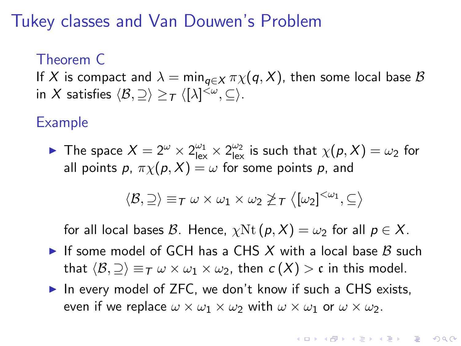## Tukey classes and Van Douwen's Problem

#### Theorem C

If X is compact and  $\lambda = \min_{\mathbf{q} \in \mathcal{X}} \pi \chi(\mathbf{q}, X)$ , then some local base B in  $X$  satisfies  $\langle \mathcal{B}, \supseteq \rangle \geq_{\mathcal{T}} \langle [\lambda]^{<\omega}, \subseteq \rangle$ .

#### Example

The space  $X = 2^{\omega} \times 2^{\omega_1}_{lex} \times 2^{\omega_2}_{lex}$  is such that  $\chi(p, X) = \omega_2$  for all points p,  $\pi \chi(p, X) = \omega$  for some points p, and

$$
\langle \mathcal{B},\supseteq\rangle\equiv_{\mathcal{T}}\omega\times\omega_1\times\omega_2\ngeq_{\mathcal{T}}\big\langle[\omega_2]^{<\omega_1},\subseteq\big\rangle
$$

for all local bases B. Hence,  $\chi$ Nt $(p, X) = \omega_2$  for all  $p \in X$ .

- If some model of GCH has a CHS X with a local base  $\beta$  such that  $\langle \mathcal{B}, \supseteq \rangle \equiv_T \omega \times \omega_1 \times \omega_2$ , then  $c(X) > c$  in this model.
- $\triangleright$  In every model of ZFC, we don't know if such a CHS exists, even if we replace  $\omega \times \omega_1 \times \omega_2$  with  $\omega \times \omega_1$  or  $\omega \times \omega_2$ .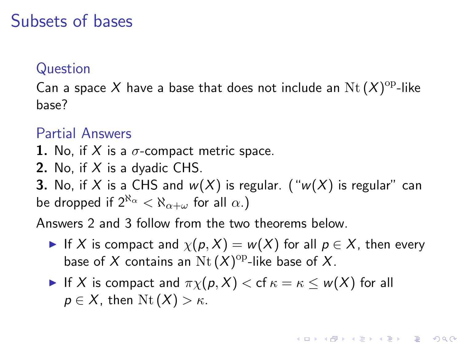## Subsets of bases

#### Question

Can a space X have a base that does not include an  $\operatorname{Nt}(X)^{\operatorname{op}}$ -like base?

#### Partial Answers

- 1. No, if X is a  $\sigma$ -compact metric space.
- **2.** No, if  $X$  is a dyadic CHS.

**3.** No, if X is a CHS and  $w(X)$  is regular. (" $w(X)$  is regular" can be dropped if  $2^{\aleph_{\alpha}} < \aleph_{\alpha+\omega}$  for all  $\alpha$ .)

Answers 2 and 3 follow from the two theorems below.

If X is compact and  $\chi(p, X) = w(X)$  for all  $p \in X$ , then every base of X contains an  $\operatorname{Nt}(X)^{\operatorname{op}}$ -like base of X.

**KORKAR KERKER E VOOR** 

If X is compact and  $\pi \chi(p, X) <$  cf  $\kappa = \kappa \leq w(X)$  for all  $p \in X$ , then  $\mathrm{Nt}(X) > \kappa$ .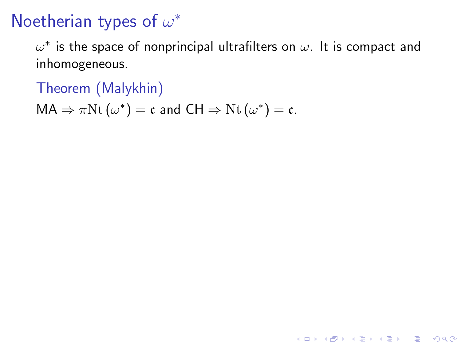# Noetherian types of  $\omega^*$

 $\omega^*$  is the space of nonprincipal ultrafilters on  $\omega.$  It is compact and inhomogeneous.

**K ロ ▶ K @ ▶ K 할 X X 할 X 및 할 X X Q Q O** 

Theorem (Malykhin)

 $MA \Rightarrow \pi Nt (\omega^*) = \mathfrak{c}$  and  $CH \Rightarrow Nt (\omega^*) = \mathfrak{c}$ .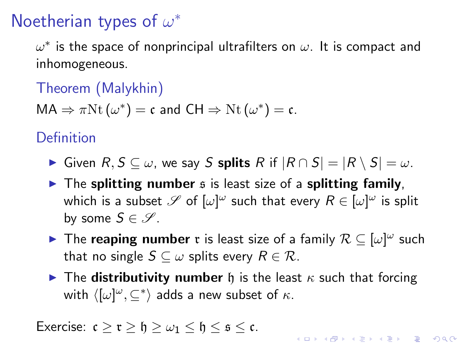# Noetherian types of  $\omega^*$

 $\omega^*$  is the space of nonprincipal ultrafilters on  $\omega.$  It is compact and inhomogeneous.

Theorem (Malykhin)

 $MA \Rightarrow \pi Nt (\omega^*) = \mathfrak{c}$  and  $CH \Rightarrow Nt (\omega^*) = \mathfrak{c}$ .

**Definition** 

- $I \triangleright$  Given  $R, S \subseteq \omega$ , we say S splits R if  $|R \cap S| = |R \setminus S| = \omega$ .
- $\triangleright$  The splitting number  $\mathfrak s$  is least size of a splitting family, which is a subset  $\mathscr S$  of  $[\omega]^\omega$  such that every  $R\in [\omega]^\omega$  is split by some  $S \in \mathscr{S}$ .
- ► The reaping number r is least size of a family  $\mathcal{R} \subseteq [\omega]^{\omega}$  such that no single  $S \subseteq \omega$  splits every  $R \in \mathcal{R}$ .
- **IGM** The **distributivity number** h is the least  $\kappa$  such that forcing with  $\langle [\omega]^\omega , \subseteq^* \rangle$  adds a new subset of  $\kappa.$

KID KA KERKER E VOOR

Exercise:  $c > r > h > \omega_1 < h < s < c$ .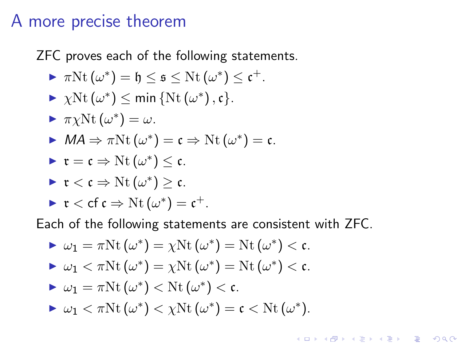### A more precise theorem

ZFC proves each of the following statements.

$$
\blacktriangleright \pi \mathrm{Nt} \left( \omega^* \right) = \mathfrak{h} \leq \mathfrak{s} \leq \mathrm{Nt} \left( \omega^* \right) \leq \mathfrak{c}^+.
$$

$$
\blacktriangleright \ \ \chi \mathrm{Nt}\left( \omega^* \right) \leq \min \left\{ \mathrm{Nt}\left( \omega^* \right), \mathfrak{c} \right\}.
$$

$$
\blacktriangleright \pi \chi \mathrm{Nt} \left( \omega^* \right) = \omega.
$$

$$
\triangleright MA \Rightarrow \pi \mathrm{Nt}(\omega^*) = \mathfrak{c} \Rightarrow \mathrm{Nt}(\omega^*) = \mathfrak{c}.
$$

$$
\blacktriangleright \mathfrak{r} = \mathfrak{c} \Rightarrow \mathrm{Nt}(\omega^*) \leq \mathfrak{c}.
$$

$$
\quad \blacktriangleright \; \mathfrak{r} < \mathfrak{c} \Rightarrow \mathrm{Nt}\left(\omega^*\right) \geq \mathfrak{c}.
$$

$$
\blacktriangleright \mathfrak{r} < cf \mathfrak{c} \Rightarrow \mathrm{Nt}(\omega^*) = \mathfrak{c}^+.
$$

Each of the following statements are consistent with ZFC.

\n- \n
$$
\omega_1 = \pi \text{Nt} \, (\omega^*) = \chi \text{Nt} \, (\omega^*) = \text{Nt} \, (\omega^*) < \mathfrak{c}.
$$
\n
\n- \n $\omega_1 < \pi \text{Nt} \, (\omega^*) = \chi \text{Nt} \, (\omega^*) = \text{Nt} \, (\omega^*) < \mathfrak{c}.$ \n
\n- \n $\omega_1 = \pi \text{Nt} \, (\omega^*) < \text{Nt} \, (\omega^*) < \mathfrak{c}.$ \n
\n- \n $\omega_1 < \pi \text{Nt} \, (\omega^*) < \chi \text{Nt} \, (\omega^*) = \mathfrak{c} < \text{Nt} \, (\omega^*).$ \n
\n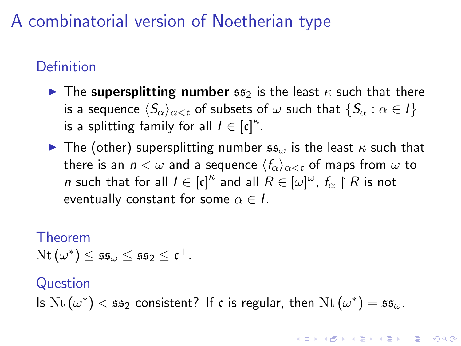# A combinatorial version of Noetherian type

### Definition

- **If** The supersplitting number  $\mathfrak{ss}_2$  is the least  $\kappa$  such that there is a sequence  $\langle S_\alpha\rangle_{\alpha<\mathfrak{c}}$  of subsets of  $\omega$  such that  $\{S_\alpha : \alpha \in I\}$ is a splitting family for all  $I \in [c]^{\kappa}$ .
- **I** The (other) supersplitting number  $\mathfrak{ss}_{\omega}$  is the least  $\kappa$  such that there is an  $n < \omega$  and a sequence  $\langle f_\alpha \rangle_{\alpha < \epsilon}$  of maps from  $\omega$  to n such that for all  $I \in [\mathfrak{c}]^{\kappa}$  and all  $R \in [\omega]^{\omega}$ ,  $f_{\alpha} \restriction R$  is not eventually constant for some  $\alpha \in I$ .

#### Theorem

 $\mathrm{Nt}\left(\omega^{*}\right) \leq \mathfrak{s}\mathfrak{s}_{\omega} \leq \mathfrak{s}\mathfrak{s}_2 \leq \mathfrak{c}^+.$ 

#### Question

Is  $\text{Nt}(\omega^*) < \mathfrak{ss}_2$  consistent? If c is regular, then  $\text{Nt}(\omega^*) = \mathfrak{ss}_{\omega}$ .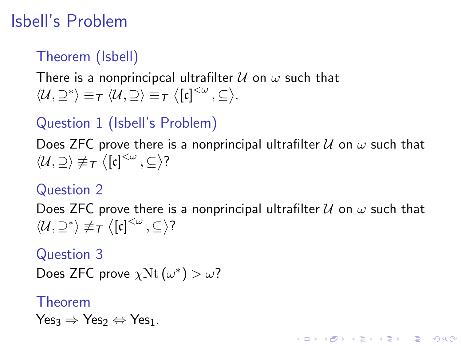# Isbell's Problem

## Theorem (Isbell)

There is a nonprincipcal ultrafilter  $\mathcal U$  on  $\omega$  such that  $\langle \mathcal{U}, \supseteq^* \rangle \equiv_{\mathcal{T}} \langle \mathcal{U}, \supseteq \rangle \equiv_{\mathcal{T}} \langle [\mathfrak{c}]^{<\omega}, \subseteq \rangle.$ 

## Question 1 (Isbell's Problem)

Does ZFC prove there is a nonprincipal ultrafilter  $U$  on  $\omega$  such that  $\langle \mathcal{U},\supseteq \rangle \not\equiv_{\mathcal{T}} \big\langle [\mathfrak{c}]^{<\omega}\, ,\subseteq \big\rangle$ ?

#### Question 2

Does ZFC prove there is a nonprincipal ultrafilter  $U$  on  $\omega$  such that  $\langle \mathcal{U}, \supseteq^* \rangle \not\equiv_T \langle [\mathfrak{c}]^{<\omega}, \subseteq \rangle$ ?

**KORKAR KERKER E VOOR** 

Question 3

Does ZFC prove  $\chi$ Nt $(\omega^*) > \omega$ ?

#### Theorem

 $Yes_3 \Rightarrow Yes_2 \Leftrightarrow Yes_1.$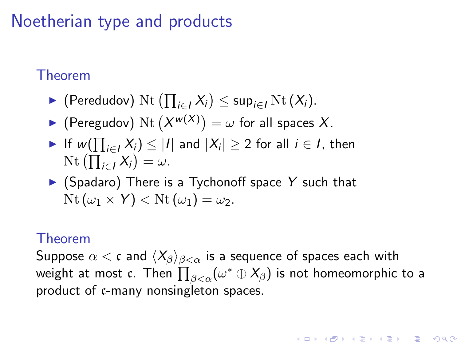# Noetherian type and products

### Theorem

- ► (Peredudov) Nt  $(\prod_{i\in I} X_i)$   $\leq$  sup<sub>i $\in I$ </sub> Nt  $(X_i)$ .
- $\blacktriangleright$  (Peregudov) Nt  $(X^{w(X)}) = \omega$  for all spaces X.
- ► If  $w(\prod_{i \in I} X_i) \leq |I|$  and  $|X_i| \geq 2$  for all  $i \in I$ , then Nt  $\left(\prod_{i\in I} X_i\right) = \omega$ .
- $\triangleright$  (Spadaro) There is a Tychonoff space Y such that  $\text{Nt}(\omega_1 \times Y) < \text{Nt}(\omega_1) = \omega_2.$

#### Theorem

Suppose  $\alpha < \mathfrak{c}$  and  $\langle X_\beta \rangle_{\beta < \alpha}$  is a sequence of spaces each with weight at most  $\mathfrak{c}.$  Then  $\prod_{\beta<\alpha}(\omega^*\oplus \mathsf{X}_\beta)$  is not homeomorphic to a product of c-many nonsingleton spaces.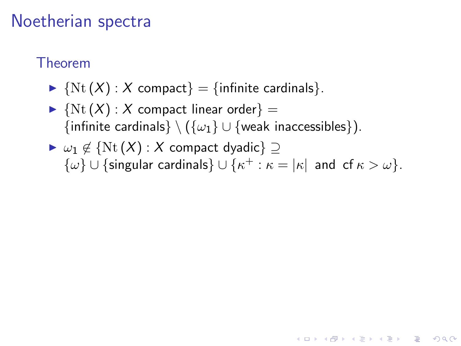## Noetherian spectra

### Theorem

- $\blacktriangleright$  {Nt (X) : X compact} = {infinite cardinals}.
- $\blacktriangleright$  {Nt  $(X)$  : X compact linear order} = {infinite cardinals} \ ( $\{\omega_1\} \cup$  {weak inaccessibles}).
- $\triangleright \omega_1 \notin \{N_t(X): X \text{ compact dyadic}\}\supset$  $\{\omega\} \cup \{\text{singular cardinals}\}\cup \{\kappa^+ : \kappa=|\kappa| \text{ and of } \kappa > \omega\}.$

**KORK ERKER ADE YOUR**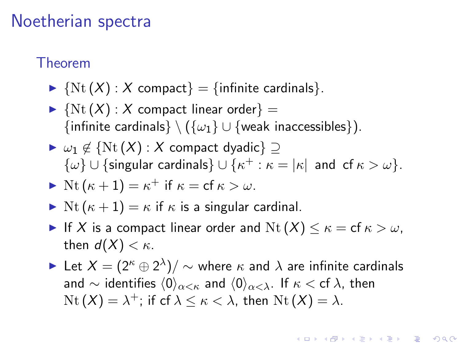### Noetherian spectra

#### Theorem

- $\blacktriangleright$  {Nt  $(X)$  : X compact} = {infinite cardinals}.
- $\blacktriangleright$  {Nt  $(X)$  : X compact linear order} = {infinite cardinals} \ ( $\{\omega_1\} \cup \{\text{weak in} \}$ ccessibles}).
- $\triangleright \omega_1 \notin \{N_t(X) : X \text{ compact dyadic}\}\supset$  $\{\omega\} \cup \{\text{singular cardinals}\}\cup \{\kappa^+ : \kappa=|\kappa| \text{ and of } \kappa > \omega\}.$

$$
\blacktriangleright \text{ Nt } (\kappa + 1) = \kappa^+ \text{ if } \kappa = \text{cf } \kappa > \omega.
$$

- $\triangleright$  Nt  $(\kappa + 1) = \kappa$  if  $\kappa$  is a singular cardinal.
- If X is a compact linear order and  $Nt(X) \leq \kappa = \text{cf } \kappa > \omega$ , then  $d(X) < \kappa$ .
- ► Let  $X=(2^\kappa\oplus 2^\lambda)/\sim$  where  $\kappa$  and  $\lambda$  are infinite cardinals and  $\sim$  identifies  $\langle 0 \rangle_{\alpha \leq \kappa}$  and  $\langle 0 \rangle_{\alpha \leq \lambda}$ . If  $\kappa <$  cf  $\lambda$ , then  $\mathrm{Nt}\left( X\right) =\lambda^{+};$  if cf  $\lambda\leq\kappa<\lambda,$  then  $\mathrm{Nt}\left( X\right) =\lambda.$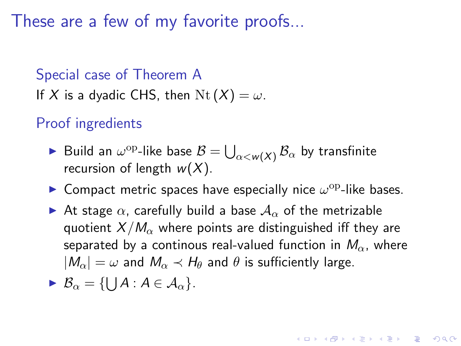These are a few of my favorite proofs...

## Special case of Theorem A If X is a dyadic CHS, then  $Nt(X) = \omega$ .

Proof ingredients

- $\blacktriangleright$  Build an  $\omega^{\rm op}\text{-}$ like base  $\mathcal{B}=\bigcup_{\alpha< w(X)}\mathcal{B}_\alpha$  by transfinite recursion of length  $w(X)$ .
- **Compact metric spaces have especially nice**  $\omega^{\rm op}$ **-like bases.**
- At stage  $\alpha$ , carefully build a base  $A_{\alpha}$  of the metrizable quotient  $X/M_{\alpha}$  where points are distinguished iff they are separated by a continous real-valued function in  $M_{\alpha}$ , where  $|M_{\alpha}| = \omega$  and  $M_{\alpha} \prec H_{\theta}$  and  $\theta$  is sufficiently large.

$$
\blacktriangleright \mathcal{B}_{\alpha} = \{\bigcup A : A \in \mathcal{A}_{\alpha}\}.
$$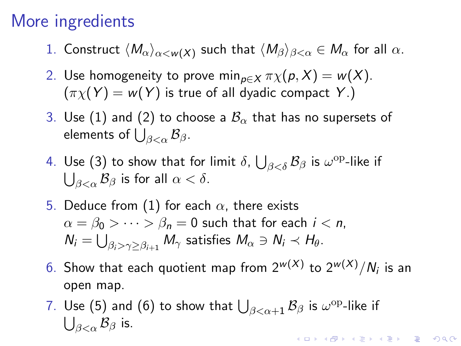## More ingredients

- <span id="page-30-0"></span>1. Construct  $\langle M_\alpha\rangle_{\alpha< w(X)}$  such that  $\langle M_\beta\rangle_{\beta<\alpha}\in M_\alpha$  for all  $\alpha.$
- <span id="page-30-1"></span>2. Use homogeneity to prove min<sub>p∈X</sub>  $\pi \chi(p, X) = w(X)$ .  $(\pi_X(Y) = w(Y)$  is true of all dyadic compact Y.)
- <span id="page-30-2"></span>3. Use [\(1\)](#page-30-0) and [\(2\)](#page-30-1) to choose a  $B_{\alpha}$  that has no supersets of elements of  $\bigcup_{\beta<\alpha}\mathcal{B}_\beta$ .
- 4. Use [\(3\)](#page-30-2) to show that for limit  $\delta$ ,  $\bigcup_{\beta<\delta}{\cal B}_\beta$  is  $\omega^{\rm op}\text{-like}$  if  $\bigcup_{\beta<\alpha}\mathcal{B}_\beta$  is for all  $\alpha<\delta.$
- <span id="page-30-3"></span>5. Deduce from [\(1\)](#page-30-0) for each  $\alpha$ , there exists  $\alpha = \beta_0 > \cdots > \beta_n = 0$  such that for each  $i < n$ ,  $\mathcal{N}_i = \bigcup_{\beta_i > \gamma \geq \beta_{i+1}} \mathcal{M}_\gamma$  satisfies  $\mathcal{M}_\alpha \ni \mathcal{N}_i \prec \mathcal{H}_\theta.$
- <span id="page-30-4"></span> $6.$  Show that each quotient map from  $2^{w(X)}$  to  $2^{w(X)}/N_i$  is an open map.
- 7. Use [\(5\)](#page-30-3) and [\(6\)](#page-30-4) to show that  $\bigcup_{\beta<\alpha+1}\mathcal{B}_\beta$  is  $\omega^{\mathrm{op}}$ -like if  $\bigcup_{\beta<\alpha}\mathcal{B}_\beta$  is. **KORK (FRAGE) EL POLO**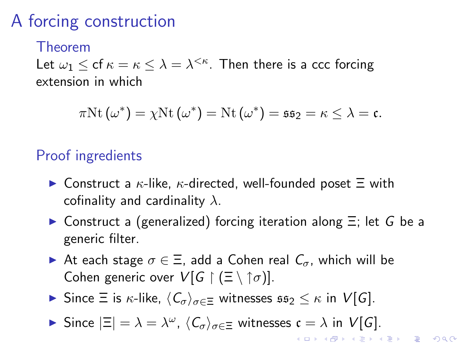# A forcing construction

#### Theorem

Let  $\omega_1 \leq$  cf  $\kappa = \kappa \leq \lambda = \lambda^{<\kappa}$ . Then there is a ccc forcing extension in which

$$
\pi \mathrm{Nt} \left( \omega^* \right) = \chi \mathrm{Nt} \left( \omega^* \right) = \mathrm{Nt} \left( \omega^* \right) = \mathfrak{ss}_2 = \kappa \leq \lambda = \mathfrak{c}.
$$

### Proof ingredients

- $\triangleright$  Construct a  $\kappa$ -like,  $\kappa$ -directed, well-founded poset  $\Xi$  with cofinality and cardinality  $\lambda$ .
- $\triangleright$  Construct a (generalized) forcing iteration along  $\Xi$ ; let G be a generic filter.
- At each stage  $\sigma \in \Xi$ , add a Cohen real  $C_{\sigma}$ , which will be Cohen generic over  $V[G \restriction (\Xi \setminus \uparrow \sigma)]$ .
- **In** Since  $\Xi$  is  $\kappa$ -like,  $\langle C_{\sigma} \rangle_{\sigma \in \Xi}$  witnesses  $\mathfrak{ss}_2 \leq \kappa$  in  $V[G]$ .
- Since  $|\Xi| = \lambda = \lambda^{\omega}$ ,  $\langle C_{\sigma} \rangle_{\sigma \in \Xi}$  witnesses  $\mathfrak{c} = \lambda$  in  $V[G]$ . **K ロ ▶ K @ ▶ K 할 X X 할 X 및 할 X X Q Q O**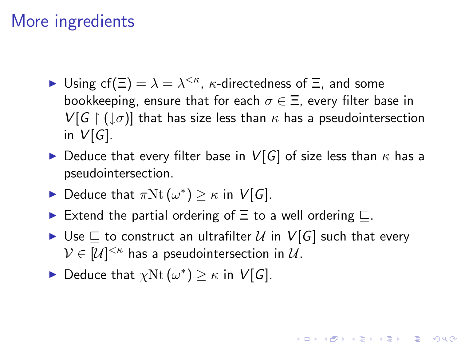## More ingredients

- ► Using cf( $\Xi$ ) =  $\lambda = \lambda^{<\kappa}$ ,  $\kappa$ -directedness of  $\Xi$ , and some bookkeeping, ensure that for each  $\sigma \in \Xi$ , every filter base in  $V[G \restriction (\downarrow \sigma)]$  that has size less than  $\kappa$  has a pseudointersection in  $V[G]$ .
- $\triangleright$  Deduce that every filter base in  $V[G]$  of size less than  $\kappa$  has a pseudointersection.
- ► Deduce that  $\pi \text{Nt}(\omega^*) \geq \kappa$  in  $V[G]$ .
- Extend the partial ordering of  $\Xi$  to a well ordering  $\Xi$ .
- $\blacktriangleright$  Use  $\sqsubseteq$  to construct an ultrafilter  $\mathcal U$  in  $V[G]$  such that every  $\mathcal{V} \in [\mathcal{U}]^{<\kappa}$  has a pseudointersection in  $\mathcal{U}.$

**KORKAR KERKER E VOOR** 

► Deduce that  $\chi$ Nt  $(\omega^*) \geq \kappa$  in  $V[G]$ .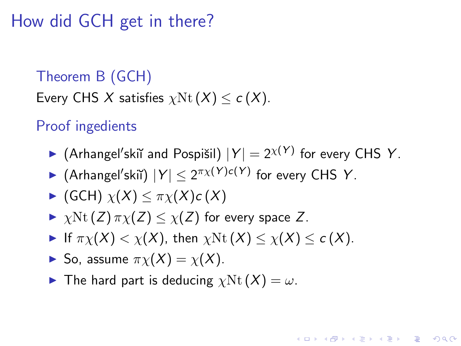## How did GCH get in there?

### Theorem B (GCH) Every CHS X satisfies  $\chi \text{Nt}(X) \leq c(X)$ .

### Proof ingedients

Arhangel'skiĭ and Pospišil)  $|Y| = 2^{\chi(Y)}$  for every CHS Y.

**KORK ERKER ADE YOUR** 

- Arhangel'skiı̆)  $|Y| \leq 2^{\pi \chi(Y) c(Y)}$  for every CHS Y.
- $\blacktriangleright$  (GCH)  $\chi(X) < \pi \chi(X) c(X)$
- $\triangleright$   $\chi$ Nt (Z)  $\pi\chi$ (Z)  $\lt \chi$ (Z) for every space Z.
- If  $\pi_Y(X) < \chi(X)$ , then  $\chi \text{Nt}(X) < \chi(X) < c(X)$ .
- $\blacktriangleright$  So, assume  $\pi_X(X) = \chi(X)$ .
- **I** The hard part is deducing  $\chi$ Nt  $(X) = \omega$ .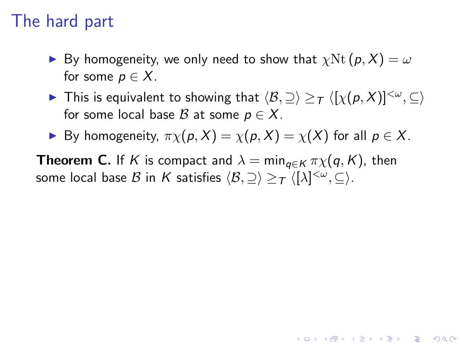## The hard part

- **I** By homogeneity, we only need to show that  $\chi$ Nt  $(p, X) = \omega$ for some  $p \in X$ .
- ▶ This is equivalent to showing that  $\langle \mathcal{B},\supseteq \rangle \geq_T \langle [\chi(\rho,X)]^{<\omega},\subseteq \rangle$ for some local base  $\mathcal B$  at some  $p \in X$ .

**KORK ERKER ADE YOUR** 

By homogeneity,  $\pi \chi(p, X) = \chi(p, X) = \chi(X)$  for all  $p \in X$ .

**Theorem C.** If K is compact and  $\lambda = \min_{q \in K} \pi \chi(q, K)$ , then some local base  $\mathcal B$  in  $\mathcal K$  satisfies  $\langle \mathcal B, \supseteq \rangle \ge_{\mathcal T} \langle [\lambda]^{<\omega}, \subseteq \rangle.$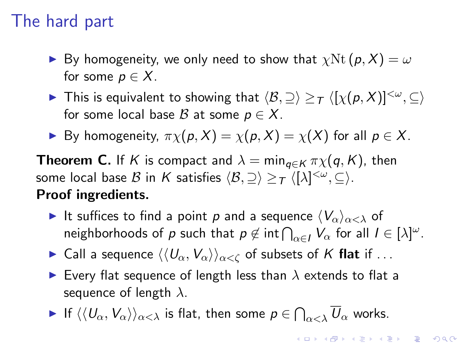# The hard part

- By homogeneity, we only need to show that  $\chi \text{Nt}(p, X) = \omega$ for some  $p \in X$ .
- ▶ This is equivalent to showing that  $\langle \mathcal{B},\supseteq \rangle \geq_T \langle [\chi(\rho,X)]^{<\omega},\subseteq \rangle$ for some local base B at some  $p \in X$ .
- By homogeneity,  $\pi \chi(p, X) = \chi(p, X) = \chi(X)$  for all  $p \in X$ .

**Theorem C.** If K is compact and  $\lambda = \min_{\alpha \in K} \pi \chi(q, K)$ , then some local base  $\mathcal B$  in  $\mathcal K$  satisfies  $\langle \mathcal B, \supseteq \rangle \ge_{\mathcal T} \langle [\lambda]^{<\omega}, \subseteq \rangle.$ Proof ingredients.

It suffices to find a point p and a sequence  $\langle V_\alpha\rangle_{\alpha<\lambda}$  of neighborhoods of  $p$  such that  $p \notin \text{int} \bigcap_{\alpha \in I} V_{\alpha}$  for all  $I \in [\lambda]^{\omega}$ .

**KORKAR KERKER E VOOR** 

- ► Call a sequence  $\langle\langle U_\alpha, V_\alpha\rangle\rangle_{\alpha<\zeta}$  of subsets of K flat if ...
- Every flat sequence of length less than  $\lambda$  extends to flat a sequence of length  $\lambda$ .
- <span id="page-35-0"></span> $\blacktriangleright$  If  $\langle\langle U_\alpha,V_\alpha\rangle\rangle_{\alpha<\lambda}$  is flat, then some  $\rho\in\bigcap_{\alpha<\lambda}\overline{U}_\alpha$  works.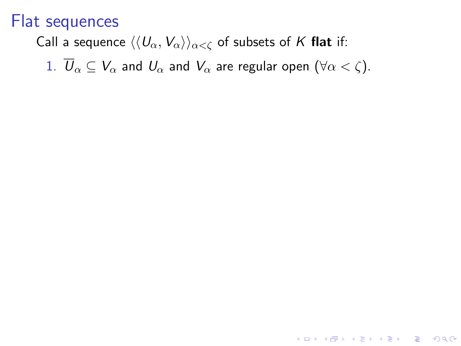### Call a sequence  $\langle\langle U_{\alpha}, V_{\alpha}\rangle\rangle_{\alpha<\zeta}$  of subsets of K flat if:

<span id="page-36-3"></span><span id="page-36-2"></span><span id="page-36-1"></span><span id="page-36-0"></span>1.  $\overline{U}_{\alpha} \subseteq V_{\alpha}$  and  $U_{\alpha}$  and  $V_{\alpha}$  are regular open  $(\forall \alpha < \zeta)$ .

**K ロ ▶ K @ ▶ K 할 X X 할 X 및 할 X X Q Q O**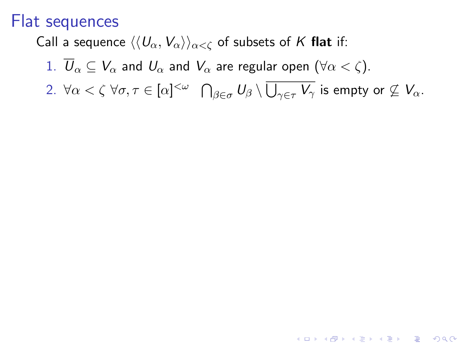Call a sequence  $\langle\langle U_{\alpha}, V_{\alpha}\rangle\rangle_{\alpha<\zeta}$  of subsets of K flat if:

1.  $\overline{U}_{\alpha} \subseteq V_{\alpha}$  and  $U_{\alpha}$  and  $V_{\alpha}$  are regular open  $(\forall \alpha < \zeta)$ .

 $2. \ \forall \alpha<\zeta \ \forall \sigma, \tau \in [\alpha]^{<\omega} \quad \bigcap_{\beta \in \sigma} U_\beta \setminus \overline{\bigcup_{\gamma \in \tau} V_\gamma} \text{ is empty or } \not \subseteq V_\alpha.$ 

**K ロ ▶ K @ ▶ K 할 X X 할 X 및 할 X X Q Q O**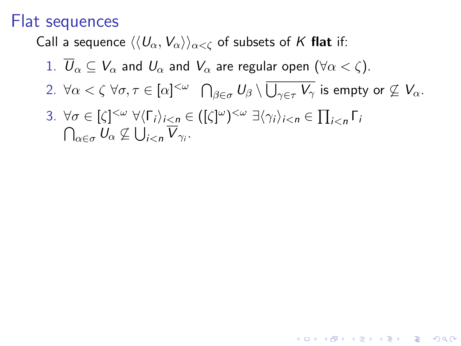Call a sequence  $\langle\langle U_{\alpha}, V_{\alpha}\rangle\rangle_{\alpha<\zeta}$  of subsets of K flat if:

- 1.  $\overline{U}_{\alpha} \subseteq V_{\alpha}$  and  $U_{\alpha}$  and  $V_{\alpha}$  are regular open  $(\forall \alpha < \zeta)$ .
- $2. \ \forall \alpha<\zeta \ \forall \sigma, \tau \in [\alpha]^{<\omega} \quad \bigcap_{\beta \in \sigma} U_\beta \setminus \overline{\bigcup_{\gamma \in \tau} V_\gamma} \text{ is empty or } \not \subseteq V_\alpha.$

**KORK ERKER ADE YOUR** 

<span id="page-38-0"></span>3.  $\forall \sigma \in [\zeta]^{<\omega} \ \forall \langle \Gamma_i \rangle_{i < n} \in ([\zeta]^\omega)^{<\omega} \ \exists \langle \gamma_i \rangle_{i < n} \in \prod_{i < n} \Gamma_i$  $\bigcap_{\alpha \in \sigma} U_{\alpha} \nsubseteq U_{i < n}$   $\overline{V}_{\gamma_i}$ .